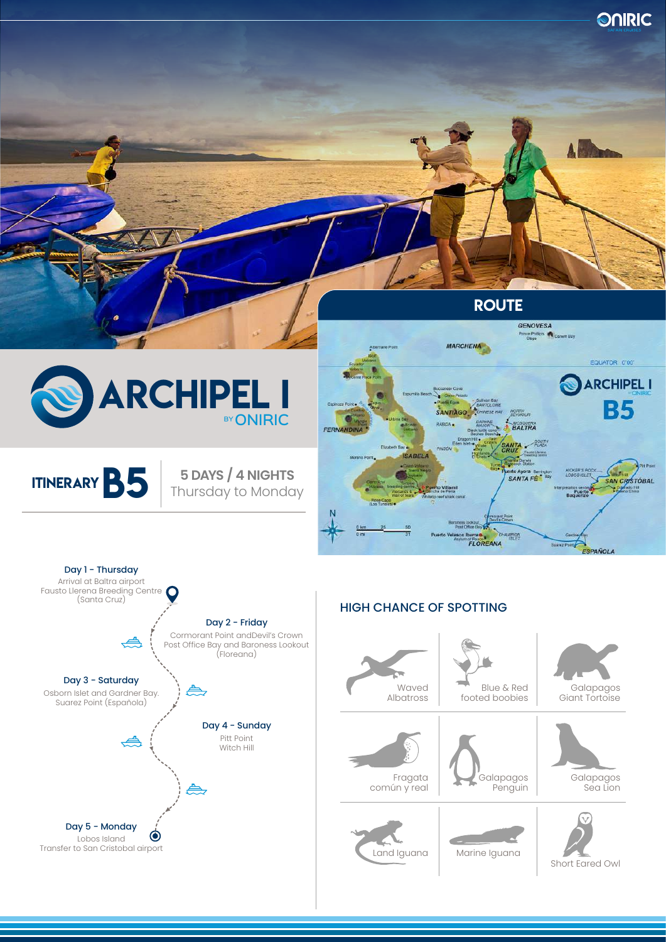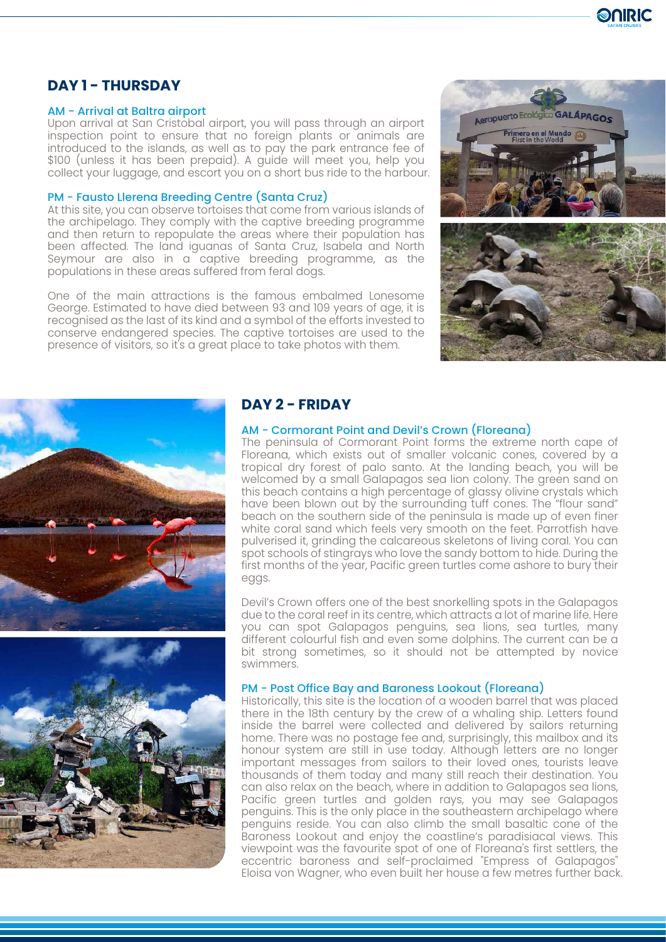

# **DAY 1 - THURSDAY**

## AM - Arrival at Baltra airport

Upon arrival at San Cristobal airport, you will pass through an airport inspection point to ensure that no foreign plants or animals are introduced to the islands, as well as to pay the park entrance fee of \$100 (unless it has been prepaid). A guide will meet you, help you collect your luggage, and escort you on a short bus ride to the harbour.

## PM - Fausto Llerena Breeding Centre (Santa Cruz)

At this site, you can observe tortoises that come from various islands of the archipelago. They comply with the captive breeding programme and then return to repopulate the areas where their population has been affected. The land iguanas of Santa Cruz, Isabela and North Seymour are also in a captive breeding programme, as the populations in these areas suffered from feral dogs.

One of the main attractions is the famous embalmed Lonesome George. Estimated to have died between 93 and 109 years of age, it is recognised as the last of its kind and a symbol of the efforts invested to conserve endangered species. The captive tortoises are used to the presence of visitors, so it's a great place to take photos with them.







# **DAY 2 - FRIDAY**

## AM - Cormorant Point and Devil's Crown (Floreana)

The peninsula of Cormorant Point forms the extreme north cape of Floreana, which exists out of smaller volcanic cones, covered by a tropical dry forest of palo santo. At the landing beach, you will be welcomed by a small Galapagos sea lion colony. The green sand on this beach contains a high percentage of glassy olivine crystals which have been blown out by the surrounding tuff cones. The "flour sand" beach on the southern side of the peninsula is made up of even finer white coral sand which feels very smooth on the feet. Parrotfish have pulverised it, grinding the calcareous skeletons of living coral. You can spot schools of stingrays who love the sandy bottom to hide. During the first months of the year, Pacific green turtles come ashore to bury their eggs.

Devil's Crown offers one of the best snorkelling spots in the Galapagos due to the coral reef in its centre, which attracts a lot of marine life. Here you can spot Galapagos penguins, sea lions, sea turtles, many different colourful fish and even some dolphins. The current can be a bit strong sometimes, so it should not be attempted by novice swimmers.

## PM - Post Office Bay and Baroness Lookout (Floreana)

Historically, this site is the location of a wooden barrel that was placed there in the 18th century by the crew of a whaling ship. Letters found inside the barrel were collected and delivered by sailors returning home. There was no postage fee and, surprisingly, this mailbox and its honour system are still in use today. Although letters are no longer important messages from sailors to their loved ones, tourists leave thousands of them today and many still reach their destination. You can also relax on the beach, where in addition to Galapagos sea lions, Pacific green turtles and golden rays, you may see Galapagos penguins. This is the only place in the southeastern archipelago where penguins reside. You can also climb the small basaltic cone of the Baroness Lookout and enjoy the coastline's paradisiacal views. This viewpoint was the favourite spot of one of Floreana's first settlers, the eccentric baroness and self-proclaimed "Empress of Galapagos" Eloisa von Wagner, who even built her house a few metres further back.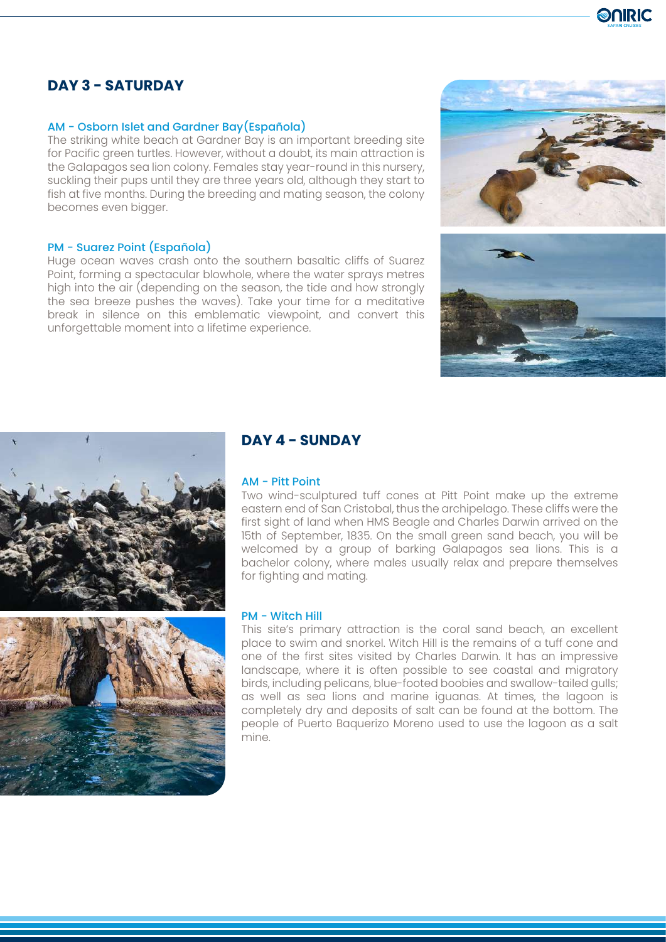# **DAY 3 - SATURDAY**

# AM - Osborn Islet and Gardner Bay(Española)

The striking white beach at Gardner Bay is an important breeding site for Pacific green turtles. However, without a doubt, its main attraction is the Galapagos sea lion colony. Females stay year-round in this nursery, suckling their pups until they are three years old, although they start to fish at five months. During the breeding and mating season, the colony becomes even bigger.

## PM - Suarez Point (Española)

Huge ocean waves crash onto the southern basaltic cliffs of Suarez Point, forming a spectacular blowhole, where the water sprays metres high into the air (depending on the season, the tide and how strongly the sea breeze pushes the waves). Take your time for a meditative break in silence on this emblematic viewpoint, and convert this unforgettable moment into a lifetime experience.







# **DAY 4 - SUNDAY**

## AM - Pitt Point

Two wind-sculptured tuff cones at Pitt Point make up the extreme eastern end of San Cristobal, thus the archipelago. These cliffs were the first sight of land when HMS Beagle and Charles Darwin arrived on the 15th of September, 1835. On the small green sand beach, you will be welcomed by a group of barking Galapagos sea lions. This is a bachelor colony, where males usually relax and prepare themselves for fighting and mating.

#### PM - Witch Hill

This site's primary attraction is the coral sand beach, an excellent place to swim and snorkel. Witch Hill is the remains of a tuff cone and one of the first sites visited by Charles Darwin. It has an impressive landscape, where it is often possible to see coastal and migratory birds, including pelicans, blue-footed boobies and swallow-tailed gulls; as well as sea lions and marine iguanas. At times, the lagoon is completely dry and deposits of salt can be found at the bottom. The people of Puerto Baquerizo Moreno used to use the lagoon as a salt mine.